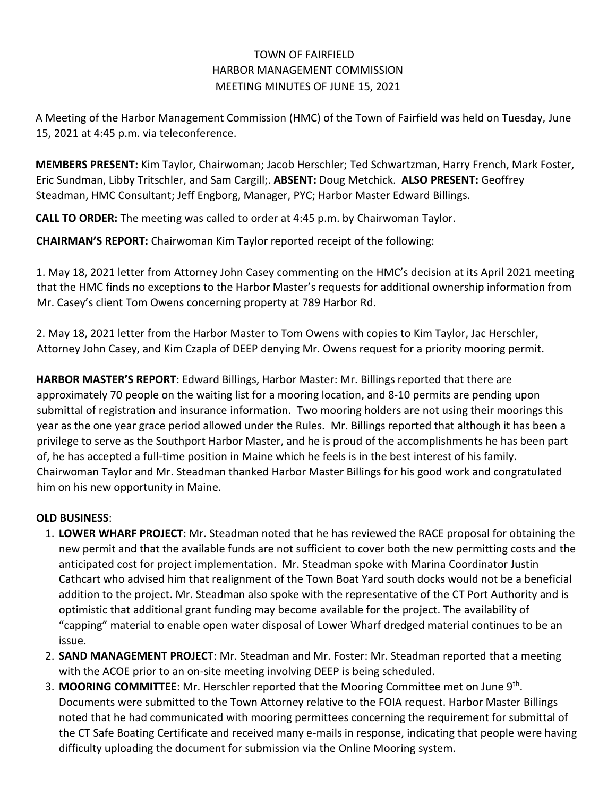## TOWN OF FAIRFIELD HARBOR MANAGEMENT COMMISSION MEETING MINUTES OF JUNE 15, 2021

A Meeting of the Harbor Management Commission (HMC) of the Town of Fairfield was held on Tuesday, June 15, 2021 at 4:45 p.m. via teleconference.

**MEMBERS PRESENT:** Kim Taylor, Chairwoman; Jacob Herschler; Ted Schwartzman, Harry French, Mark Foster, Eric Sundman, Libby Tritschler, and Sam Cargill;. **ABSENT:** Doug Metchick. **ALSO PRESENT:** Geoffrey Steadman, HMC Consultant; Jeff Engborg, Manager, PYC; Harbor Master Edward Billings.

**CALL TO ORDER:** The meeting was called to order at 4:45 p.m. by Chairwoman Taylor.

**CHAIRMAN'S REPORT:** Chairwoman Kim Taylor reported receipt of the following:

1. May 18, 2021 letter from Attorney John Casey commenting on the HMC's decision at its April 2021 meeting that the HMC finds no exceptions to the Harbor Master's requests for additional ownership information from Mr. Casey's client Tom Owens concerning property at 789 Harbor Rd.

2. May 18, 2021 letter from the Harbor Master to Tom Owens with copies to Kim Taylor, Jac Herschler, Attorney John Casey, and Kim Czapla of DEEP denying Mr. Owens request for a priority mooring permit.

**HARBOR MASTER'S REPORT**: Edward Billings, Harbor Master: Mr. Billings reported that there are approximately 70 people on the waiting list for a mooring location, and 8-10 permits are pending upon submittal of registration and insurance information. Two mooring holders are not using their moorings this year as the one year grace period allowed under the Rules. Mr. Billings reported that although it has been a privilege to serve as the Southport Harbor Master, and he is proud of the accomplishments he has been part of, he has accepted a full-time position in Maine which he feels is in the best interest of his family. Chairwoman Taylor and Mr. Steadman thanked Harbor Master Billings for his good work and congratulated him on his new opportunity in Maine.

## **OLD BUSINESS**:

- 1. **LOWER WHARF PROJECT**: Mr. Steadman noted that he has reviewed the RACE proposal for obtaining the new permit and that the available funds are not sufficient to cover both the new permitting costs and the anticipated cost for project implementation. Mr. Steadman spoke with Marina Coordinator Justin Cathcart who advised him that realignment of the Town Boat Yard south docks would not be a beneficial addition to the project. Mr. Steadman also spoke with the representative of the CT Port Authority and is optimistic that additional grant funding may become available for the project. The availability of "capping" material to enable open water disposal of Lower Wharf dredged material continues to be an issue.
- 2. **SAND MANAGEMENT PROJECT**: Mr. Steadman and Mr. Foster: Mr. Steadman reported that a meeting with the ACOE prior to an on-site meeting involving DEEP is being scheduled.
- 3. **MOORING COMMITTEE**: Mr. Herschler reported that the Mooring Committee met on June 9th . Documents were submitted to the Town Attorney relative to the FOIA request. Harbor Master Billings noted that he had communicated with mooring permittees concerning the requirement for submittal of the CT Safe Boating Certificate and received many e-mails in response, indicating that people were having difficulty uploading the document for submission via the Online Mooring system.